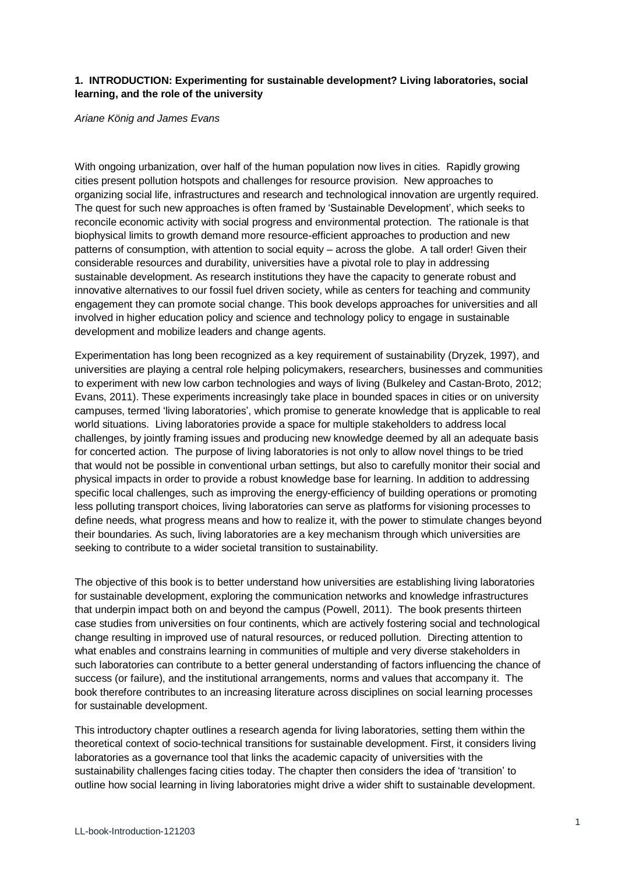# **1. INTRODUCTION: Experimenting for sustainable development? Living laboratories, social learning, and the role of the university**

*Ariane König and James Evans*

With ongoing urbanization, over half of the human population now lives in cities. Rapidly growing cities present pollution hotspots and challenges for resource provision. New approaches to organizing social life, infrastructures and research and technological innovation are urgently required. The quest for such new approaches is often framed by 'Sustainable Development', which seeks to reconcile economic activity with social progress and environmental protection. The rationale is that biophysical limits to growth demand more resource-efficient approaches to production and new patterns of consumption, with attention to social equity – across the globe. A tall order! Given their considerable resources and durability, universities have a pivotal role to play in addressing sustainable development. As research institutions they have the capacity to generate robust and innovative alternatives to our fossil fuel driven society, while as centers for teaching and community engagement they can promote social change. This book develops approaches for universities and all involved in higher education policy and science and technology policy to engage in sustainable development and mobilize leaders and change agents.

Experimentation has long been recognized as a key requirement of sustainability (Dryzek, 1997), and universities are playing a central role helping policymakers, researchers, businesses and communities to experiment with new low carbon technologies and ways of living (Bulkeley and Castan-Broto, 2012; Evans, 2011). These experiments increasingly take place in bounded spaces in cities or on university campuses, termed 'living laboratories', which promise to generate knowledge that is applicable to real world situations. Living laboratories provide a space for multiple stakeholders to address local challenges, by jointly framing issues and producing new knowledge deemed by all an adequate basis for concerted action. The purpose of living laboratories is not only to allow novel things to be tried that would not be possible in conventional urban settings, but also to carefully monitor their social and physical impacts in order to provide a robust knowledge base for learning. In addition to addressing specific local challenges, such as improving the energy-efficiency of building operations or promoting less polluting transport choices, living laboratories can serve as platforms for visioning processes to define needs, what progress means and how to realize it, with the power to stimulate changes beyond their boundaries. As such, living laboratories are a key mechanism through which universities are seeking to contribute to a wider societal transition to sustainability.

The objective of this book is to better understand how universities are establishing living laboratories for sustainable development, exploring the communication networks and knowledge infrastructures that underpin impact both on and beyond the campus (Powell, 2011). The book presents thirteen case studies from universities on four continents, which are actively fostering social and technological change resulting in improved use of natural resources, or reduced pollution. Directing attention to what enables and constrains learning in communities of multiple and very diverse stakeholders in such laboratories can contribute to a better general understanding of factors influencing the chance of success (or failure), and the institutional arrangements, norms and values that accompany it. The book therefore contributes to an increasing literature across disciplines on social learning processes for sustainable development.

This introductory chapter outlines a research agenda for living laboratories, setting them within the theoretical context of socio-technical transitions for sustainable development. First, it considers living laboratories as a governance tool that links the academic capacity of universities with the sustainability challenges facing cities today. The chapter then considers the idea of 'transition' to outline how social learning in living laboratories might drive a wider shift to sustainable development.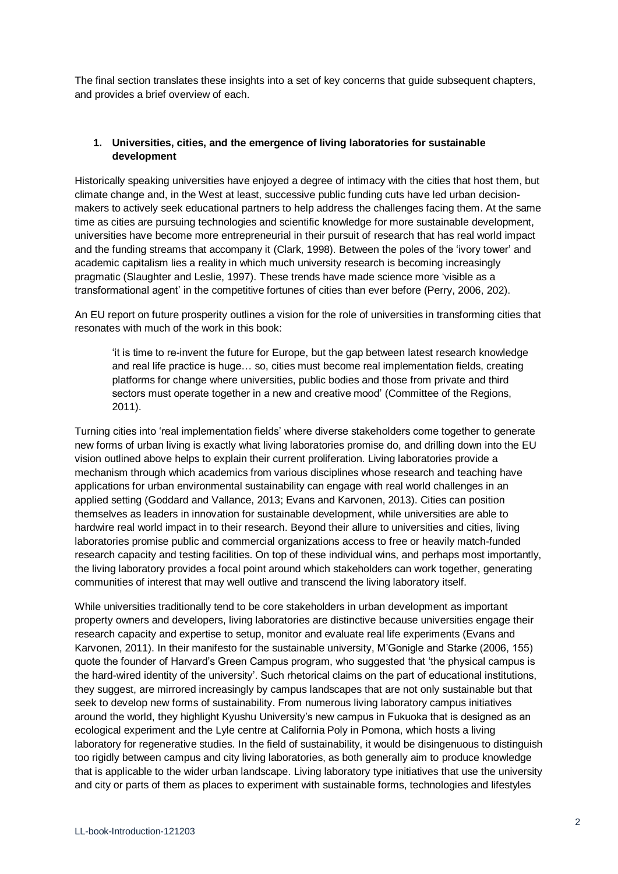The final section translates these insights into a set of key concerns that guide subsequent chapters, and provides a brief overview of each.

### **1. Universities, cities, and the emergence of living laboratories for sustainable development**

Historically speaking universities have enjoyed a degree of intimacy with the cities that host them, but climate change and, in the West at least, successive public funding cuts have led urban decisionmakers to actively seek educational partners to help address the challenges facing them. At the same time as cities are pursuing technologies and scientific knowledge for more sustainable development, universities have become more entrepreneurial in their pursuit of research that has real world impact and the funding streams that accompany it (Clark, 1998). Between the poles of the 'ivory tower' and academic capitalism lies a reality in which much university research is becoming increasingly pragmatic (Slaughter and Leslie, 1997). These trends have made science more 'visible as a transformational agent' in the competitive fortunes of cities than ever before (Perry, 2006, 202).

An EU report on future prosperity outlines a vision for the role of universities in transforming cities that resonates with much of the work in this book:

'it is time to re-invent the future for Europe, but the gap between latest research knowledge and real life practice is huge… so, cities must become real implementation fields, creating platforms for change where universities, public bodies and those from private and third sectors must operate together in a new and creative mood' (Committee of the Regions, 2011).

Turning cities into 'real implementation fields' where diverse stakeholders come together to generate new forms of urban living is exactly what living laboratories promise do, and drilling down into the EU vision outlined above helps to explain their current proliferation. Living laboratories provide a mechanism through which academics from various disciplines whose research and teaching have applications for urban environmental sustainability can engage with real world challenges in an applied setting (Goddard and Vallance, 2013; Evans and Karvonen, 2013). Cities can position themselves as leaders in innovation for sustainable development, while universities are able to hardwire real world impact in to their research. Beyond their allure to universities and cities, living laboratories promise public and commercial organizations access to free or heavily match-funded research capacity and testing facilities. On top of these individual wins, and perhaps most importantly, the living laboratory provides a focal point around which stakeholders can work together, generating communities of interest that may well outlive and transcend the living laboratory itself.

While universities traditionally tend to be core stakeholders in urban development as important property owners and developers, living laboratories are distinctive because universities engage their research capacity and expertise to setup, monitor and evaluate real life experiments (Evans and Karvonen, 2011). In their manifesto for the sustainable university, M'Gonigle and Starke (2006, 155) quote the founder of Harvard's Green Campus program, who suggested that 'the physical campus is the hard-wired identity of the university'. Such rhetorical claims on the part of educational institutions, they suggest, are mirrored increasingly by campus landscapes that are not only sustainable but that seek to develop new forms of sustainability. From numerous living laboratory campus initiatives around the world, they highlight Kyushu University's new campus in Fukuoka that is designed as an ecological experiment and the Lyle centre at California Poly in Pomona, which hosts a living laboratory for regenerative studies. In the field of sustainability, it would be disingenuous to distinguish too rigidly between campus and city living laboratories, as both generally aim to produce knowledge that is applicable to the wider urban landscape. Living laboratory type initiatives that use the university and city or parts of them as places to experiment with sustainable forms, technologies and lifestyles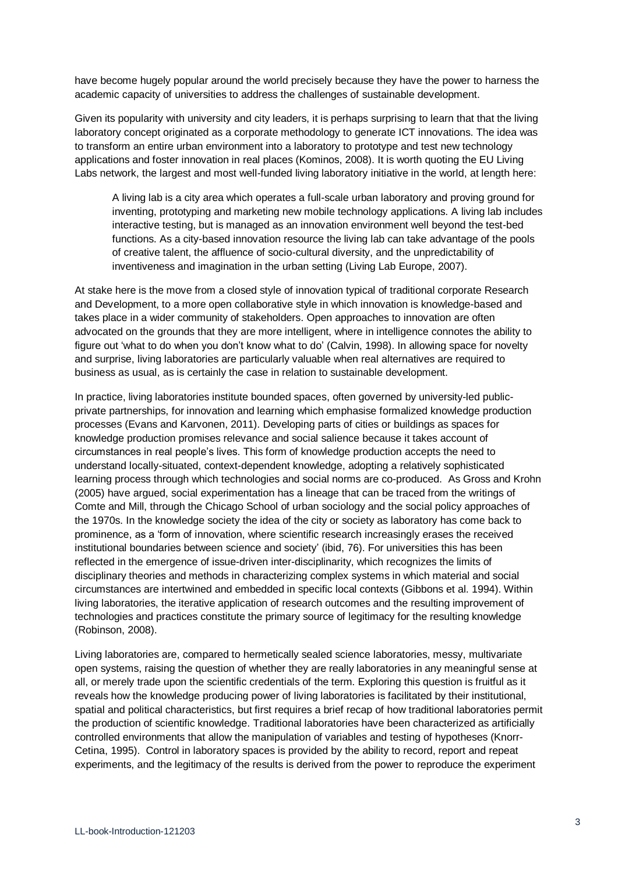have become hugely popular around the world precisely because they have the power to harness the academic capacity of universities to address the challenges of sustainable development.

Given its popularity with university and city leaders, it is perhaps surprising to learn that that the living laboratory concept originated as a corporate methodology to generate ICT innovations. The idea was to transform an entire urban environment into a laboratory to prototype and test new technology applications and foster innovation in real places (Kominos, 2008). It is worth quoting the EU Living Labs network, the largest and most well-funded living laboratory initiative in the world, at length here:

A living lab is a city area which operates a full-scale urban laboratory and proving ground for inventing, prototyping and marketing new mobile technology applications. A living lab includes interactive testing, but is managed as an innovation environment well beyond the test-bed functions. As a city-based innovation resource the living lab can take advantage of the pools of creative talent, the affluence of socio-cultural diversity, and the unpredictability of inventiveness and imagination in the urban setting (Living Lab Europe, 2007).

At stake here is the move from a closed style of innovation typical of traditional corporate Research and Development, to a more open collaborative style in which innovation is knowledge-based and takes place in a wider community of stakeholders. Open approaches to innovation are often advocated on the grounds that they are more intelligent, where in intelligence connotes the ability to figure out 'what to do when you don't know what to do' (Calvin, 1998). In allowing space for novelty and surprise, living laboratories are particularly valuable when real alternatives are required to business as usual, as is certainly the case in relation to sustainable development.

In practice, living laboratories institute bounded spaces, often governed by university-led publicprivate partnerships, for innovation and learning which emphasise formalized knowledge production processes (Evans and Karvonen, 2011). Developing parts of cities or buildings as spaces for knowledge production promises relevance and social salience because it takes account of circumstances in real people's lives. This form of knowledge production accepts the need to understand locally-situated, context-dependent knowledge, adopting a relatively sophisticated learning process through which technologies and social norms are co-produced. As Gross and Krohn (2005) have argued, social experimentation has a lineage that can be traced from the writings of Comte and Mill, through the Chicago School of urban sociology and the social policy approaches of the 1970s. In the knowledge society the idea of the city or society as laboratory has come back to prominence, as a 'form of innovation, where scientific research increasingly erases the received institutional boundaries between science and society' (ibid, 76). For universities this has been reflected in the emergence of issue-driven inter-disciplinarity, which recognizes the limits of disciplinary theories and methods in characterizing complex systems in which material and social circumstances are intertwined and embedded in specific local contexts (Gibbons et al. 1994). Within living laboratories, the iterative application of research outcomes and the resulting improvement of technologies and practices constitute the primary source of legitimacy for the resulting knowledge (Robinson, 2008).

Living laboratories are, compared to hermetically sealed science laboratories, messy, multivariate open systems, raising the question of whether they are really laboratories in any meaningful sense at all, or merely trade upon the scientific credentials of the term. Exploring this question is fruitful as it reveals how the knowledge producing power of living laboratories is facilitated by their institutional, spatial and political characteristics, but first requires a brief recap of how traditional laboratories permit the production of scientific knowledge. Traditional laboratories have been characterized as artificially controlled environments that allow the manipulation of variables and testing of hypotheses (Knorr-Cetina, 1995). Control in laboratory spaces is provided by the ability to record, report and repeat experiments, and the legitimacy of the results is derived from the power to reproduce the experiment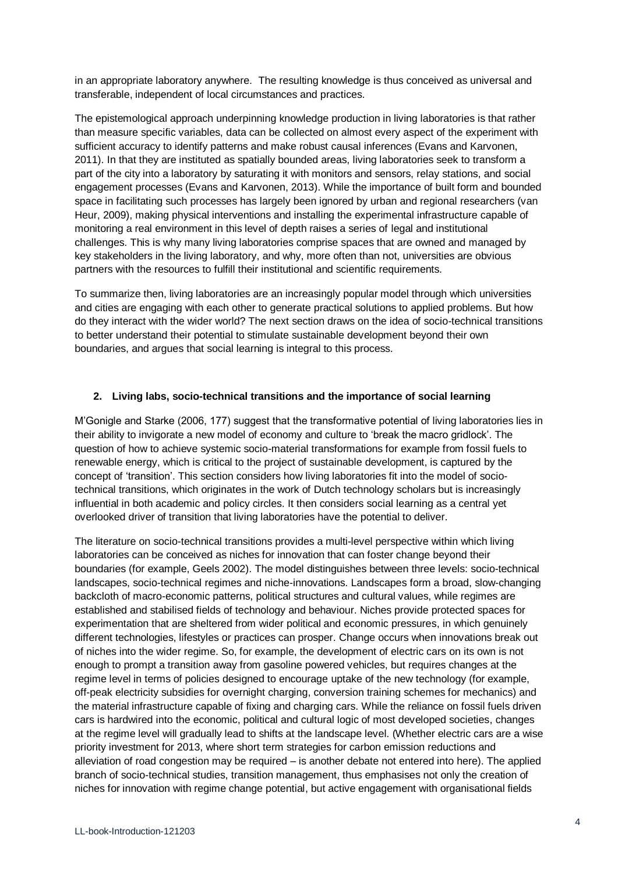in an appropriate laboratory anywhere. The resulting knowledge is thus conceived as universal and transferable, independent of local circumstances and practices.

The epistemological approach underpinning knowledge production in living laboratories is that rather than measure specific variables, data can be collected on almost every aspect of the experiment with sufficient accuracy to identify patterns and make robust causal inferences (Evans and Karvonen, 2011). In that they are instituted as spatially bounded areas, living laboratories seek to transform a part of the city into a laboratory by saturating it with monitors and sensors, relay stations, and social engagement processes (Evans and Karvonen, 2013). While the importance of built form and bounded space in facilitating such processes has largely been ignored by urban and regional researchers (van Heur, 2009), making physical interventions and installing the experimental infrastructure capable of monitoring a real environment in this level of depth raises a series of legal and institutional challenges. This is why many living laboratories comprise spaces that are owned and managed by key stakeholders in the living laboratory, and why, more often than not, universities are obvious partners with the resources to fulfill their institutional and scientific requirements.

To summarize then, living laboratories are an increasingly popular model through which universities and cities are engaging with each other to generate practical solutions to applied problems. But how do they interact with the wider world? The next section draws on the idea of socio-technical transitions to better understand their potential to stimulate sustainable development beyond their own boundaries, and argues that social learning is integral to this process.

## **2. Living labs, socio-technical transitions and the importance of social learning**

M'Gonigle and Starke (2006, 177) suggest that the transformative potential of living laboratories lies in their ability to invigorate a new model of economy and culture to 'break the macro gridlock'. The question of how to achieve systemic socio-material transformations for example from fossil fuels to renewable energy, which is critical to the project of sustainable development, is captured by the concept of 'transition'. This section considers how living laboratories fit into the model of sociotechnical transitions, which originates in the work of Dutch technology scholars but is increasingly influential in both academic and policy circles. It then considers social learning as a central yet overlooked driver of transition that living laboratories have the potential to deliver.

The literature on socio-technical transitions provides a multi-level perspective within which living laboratories can be conceived as niches for innovation that can foster change beyond their boundaries (for example, Geels 2002). The model distinguishes between three levels: socio-technical landscapes, socio-technical regimes and niche-innovations. Landscapes form a broad, slow-changing backcloth of macro-economic patterns, political structures and cultural values, while regimes are established and stabilised fields of technology and behaviour. Niches provide protected spaces for experimentation that are sheltered from wider political and economic pressures, in which genuinely different technologies, lifestyles or practices can prosper. Change occurs when innovations break out of niches into the wider regime. So, for example, the development of electric cars on its own is not enough to prompt a transition away from gasoline powered vehicles, but requires changes at the regime level in terms of policies designed to encourage uptake of the new technology (for example, off-peak electricity subsidies for overnight charging, conversion training schemes for mechanics) and the material infrastructure capable of fixing and charging cars. While the reliance on fossil fuels driven cars is hardwired into the economic, political and cultural logic of most developed societies, changes at the regime level will gradually lead to shifts at the landscape level. (Whether electric cars are a wise priority investment for 2013, where short term strategies for carbon emission reductions and alleviation of road congestion may be required – is another debate not entered into here). The applied branch of socio-technical studies, transition management, thus emphasises not only the creation of niches for innovation with regime change potential, but active engagement with organisational fields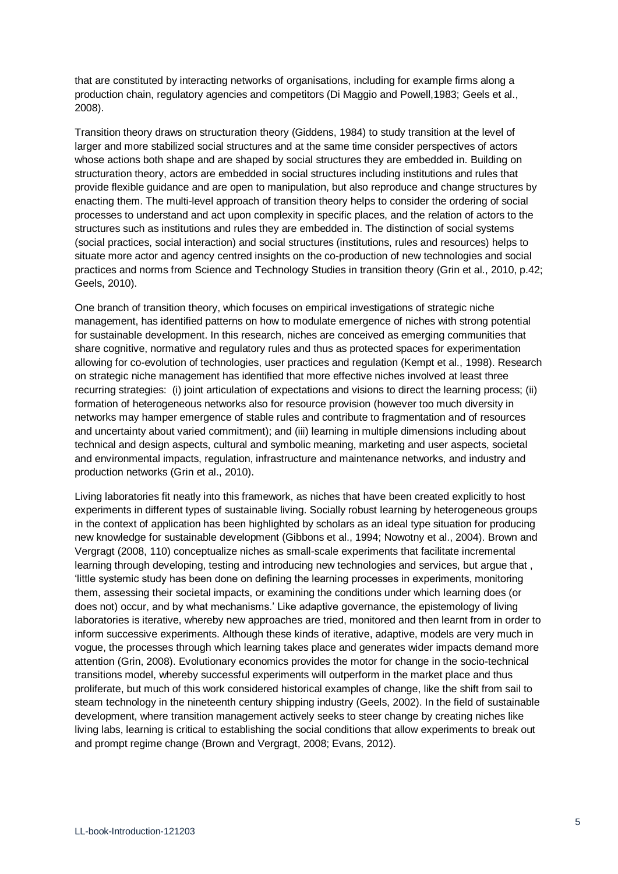that are constituted by interacting networks of organisations, including for example firms along a production chain, regulatory agencies and competitors (Di Maggio and Powell,1983; Geels et al., 2008).

Transition theory draws on structuration theory (Giddens, 1984) to study transition at the level of larger and more stabilized social structures and at the same time consider perspectives of actors whose actions both shape and are shaped by social structures they are embedded in. Building on structuration theory, actors are embedded in social structures including institutions and rules that provide flexible guidance and are open to manipulation, but also reproduce and change structures by enacting them. The multi-level approach of transition theory helps to consider the ordering of social processes to understand and act upon complexity in specific places, and the relation of actors to the structures such as institutions and rules they are embedded in. The distinction of social systems (social practices, social interaction) and social structures (institutions, rules and resources) helps to situate more actor and agency centred insights on the co-production of new technologies and social practices and norms from Science and Technology Studies in transition theory (Grin et al., 2010, p.42; Geels, 2010).

One branch of transition theory, which focuses on empirical investigations of strategic niche management, has identified patterns on how to modulate emergence of niches with strong potential for sustainable development. In this research, niches are conceived as emerging communities that share cognitive, normative and regulatory rules and thus as protected spaces for experimentation allowing for co-evolution of technologies, user practices and regulation (Kempt et al., 1998). Research on strategic niche management has identified that more effective niches involved at least three recurring strategies: (i) joint articulation of expectations and visions to direct the learning process; (ii) formation of heterogeneous networks also for resource provision (however too much diversity in networks may hamper emergence of stable rules and contribute to fragmentation and of resources and uncertainty about varied commitment); and (iii) learning in multiple dimensions including about technical and design aspects, cultural and symbolic meaning, marketing and user aspects, societal and environmental impacts, regulation, infrastructure and maintenance networks, and industry and production networks (Grin et al., 2010).

Living laboratories fit neatly into this framework, as niches that have been created explicitly to host experiments in different types of sustainable living. Socially robust learning by heterogeneous groups in the context of application has been highlighted by scholars as an ideal type situation for producing new knowledge for sustainable development (Gibbons et al., 1994; Nowotny et al., 2004). Brown and Vergragt (2008, 110) conceptualize niches as small-scale experiments that facilitate incremental learning through developing, testing and introducing new technologies and services, but argue that , 'little systemic study has been done on defining the learning processes in experiments, monitoring them, assessing their societal impacts, or examining the conditions under which learning does (or does not) occur, and by what mechanisms.' Like adaptive governance, the epistemology of living laboratories is iterative, whereby new approaches are tried, monitored and then learnt from in order to inform successive experiments. Although these kinds of iterative, adaptive, models are very much in vogue, the processes through which learning takes place and generates wider impacts demand more attention (Grin, 2008). Evolutionary economics provides the motor for change in the socio-technical transitions model, whereby successful experiments will outperform in the market place and thus proliferate, but much of this work considered historical examples of change, like the shift from sail to steam technology in the nineteenth century shipping industry (Geels, 2002). In the field of sustainable development, where transition management actively seeks to steer change by creating niches like living labs, learning is critical to establishing the social conditions that allow experiments to break out and prompt regime change (Brown and Vergragt, 2008; Evans, 2012).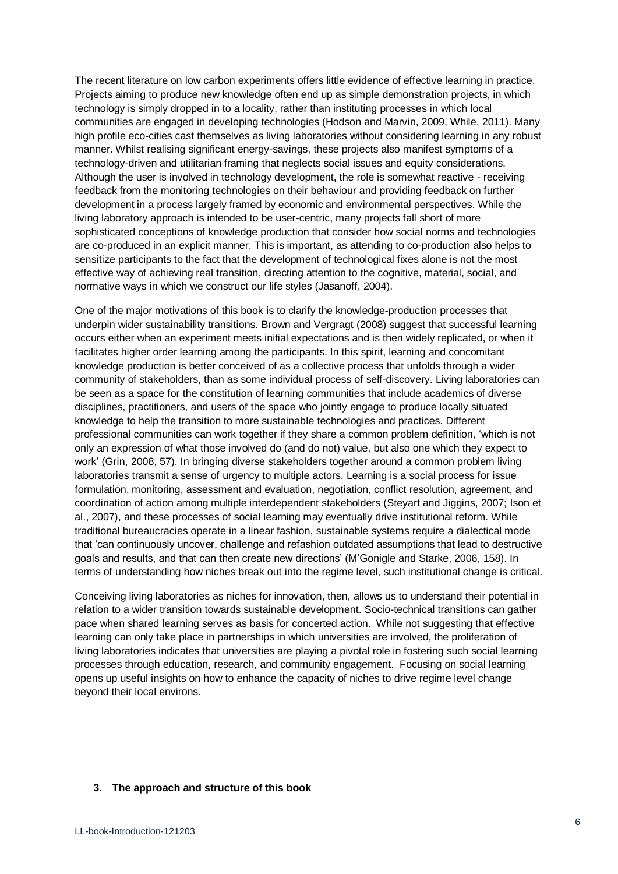The recent literature on low carbon experiments offers little evidence of effective learning in practice. Projects aiming to produce new knowledge often end up as simple demonstration projects, in which technology is simply dropped in to a locality, rather than instituting processes in which local communities are engaged in developing technologies (Hodson and Marvin, 2009, While, 2011). Many high profile eco-cities cast themselves as living laboratories without considering learning in any robust manner. Whilst realising significant energy-savings, these projects also manifest symptoms of a technology-driven and utilitarian framing that neglects social issues and equity considerations. Although the user is involved in technology development, the role is somewhat reactive - receiving feedback from the monitoring technologies on their behaviour and providing feedback on further development in a process largely framed by economic and environmental perspectives. While the living laboratory approach is intended to be user-centric, many projects fall short of more sophisticated conceptions of knowledge production that consider how social norms and technologies are co-produced in an explicit manner. This is important, as attending to co-production also helps to sensitize participants to the fact that the development of technological fixes alone is not the most effective way of achieving real transition, directing attention to the cognitive, material, social, and normative ways in which we construct our life styles (Jasanoff, 2004).

One of the major motivations of this book is to clarify the knowledge-production processes that underpin wider sustainability transitions. Brown and Vergragt (2008) suggest that successful learning occurs either when an experiment meets initial expectations and is then widely replicated, or when it facilitates higher order learning among the participants. In this spirit, learning and concomitant knowledge production is better conceived of as a collective process that unfolds through a wider community of stakeholders, than as some individual process of self-discovery. Living laboratories can be seen as a space for the constitution of learning communities that include academics of diverse disciplines, practitioners, and users of the space who jointly engage to produce locally situated knowledge to help the transition to more sustainable technologies and practices. Different professional communities can work together if they share a common problem definition, 'which is not only an expression of what those involved do (and do not) value, but also one which they expect to work' (Grin, 2008, 57). In bringing diverse stakeholders together around a common problem living laboratories transmit a sense of urgency to multiple actors. Learning is a social process for issue formulation, monitoring, assessment and evaluation, negotiation, conflict resolution, agreement, and coordination of action among multiple interdependent stakeholders (Steyart and Jiggins, 2007; Ison et al., 2007), and these processes of social learning may eventually drive institutional reform. While traditional bureaucracies operate in a linear fashion, sustainable systems require a dialectical mode that 'can continuously uncover, challenge and refashion outdated assumptions that lead to destructive goals and results, and that can then create new directions' (M'Gonigle and Starke, 2006, 158). In terms of understanding how niches break out into the regime level, such institutional change is critical.

Conceiving living laboratories as niches for innovation, then, allows us to understand their potential in relation to a wider transition towards sustainable development. Socio-technical transitions can gather pace when shared learning serves as basis for concerted action. While not suggesting that effective learning can only take place in partnerships in which universities are involved, the proliferation of living laboratories indicates that universities are playing a pivotal role in fostering such social learning processes through education, research, and community engagement. Focusing on social learning opens up useful insights on how to enhance the capacity of niches to drive regime level change beyond their local environs.

#### **3. The approach and structure of this book**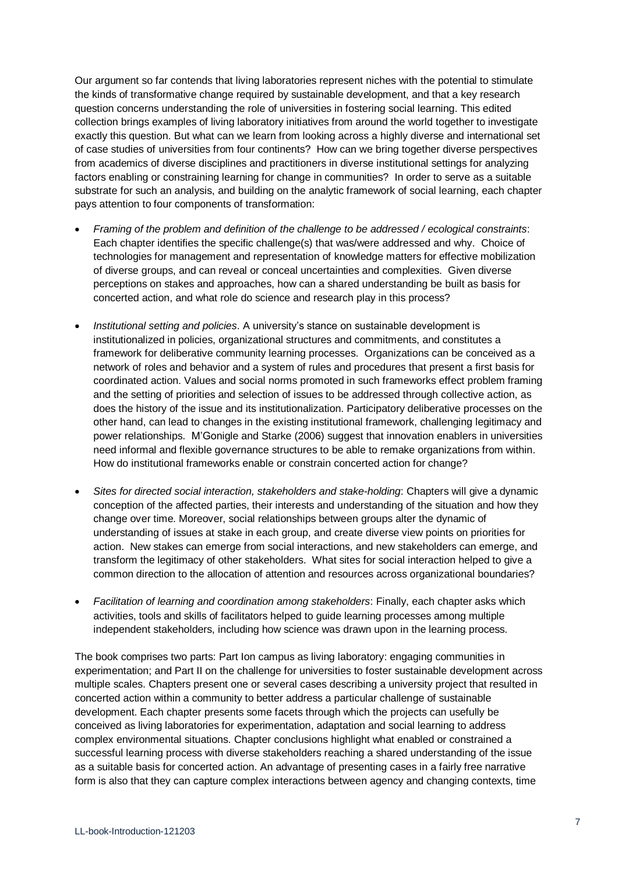Our argument so far contends that living laboratories represent niches with the potential to stimulate the kinds of transformative change required by sustainable development, and that a key research question concerns understanding the role of universities in fostering social learning. This edited collection brings examples of living laboratory initiatives from around the world together to investigate exactly this question. But what can we learn from looking across a highly diverse and international set of case studies of universities from four continents? How can we bring together diverse perspectives from academics of diverse disciplines and practitioners in diverse institutional settings for analyzing factors enabling or constraining learning for change in communities? In order to serve as a suitable substrate for such an analysis, and building on the analytic framework of social learning, each chapter pays attention to four components of transformation:

- *Framing of the problem and definition of the challenge to be addressed / ecological constraints*: Each chapter identifies the specific challenge(s) that was/were addressed and why. Choice of technologies for management and representation of knowledge matters for effective mobilization of diverse groups, and can reveal or conceal uncertainties and complexities. Given diverse perceptions on stakes and approaches, how can a shared understanding be built as basis for concerted action, and what role do science and research play in this process?
- *Institutional setting and policies*. A university's stance on sustainable development is institutionalized in policies, organizational structures and commitments, and constitutes a framework for deliberative community learning processes. Organizations can be conceived as a network of roles and behavior and a system of rules and procedures that present a first basis for coordinated action. Values and social norms promoted in such frameworks effect problem framing and the setting of priorities and selection of issues to be addressed through collective action, as does the history of the issue and its institutionalization. Participatory deliberative processes on the other hand, can lead to changes in the existing institutional framework, challenging legitimacy and power relationships. M'Gonigle and Starke (2006) suggest that innovation enablers in universities need informal and flexible governance structures to be able to remake organizations from within. How do institutional frameworks enable or constrain concerted action for change?
- *Sites for directed social interaction, stakeholders and stake-holding*: Chapters will give a dynamic conception of the affected parties, their interests and understanding of the situation and how they change over time. Moreover, social relationships between groups alter the dynamic of understanding of issues at stake in each group, and create diverse view points on priorities for action. New stakes can emerge from social interactions, and new stakeholders can emerge, and transform the legitimacy of other stakeholders. What sites for social interaction helped to give a common direction to the allocation of attention and resources across organizational boundaries?
- *Facilitation of learning and coordination among stakeholders*: Finally, each chapter asks which activities, tools and skills of facilitators helped to guide learning processes among multiple independent stakeholders, including how science was drawn upon in the learning process.

The book comprises two parts: Part Ion campus as living laboratory: engaging communities in experimentation; and Part II on the challenge for universities to foster sustainable development across multiple scales. Chapters present one or several cases describing a university project that resulted in concerted action within a community to better address a particular challenge of sustainable development. Each chapter presents some facets through which the projects can usefully be conceived as living laboratories for experimentation, adaptation and social learning to address complex environmental situations. Chapter conclusions highlight what enabled or constrained a successful learning process with diverse stakeholders reaching a shared understanding of the issue as a suitable basis for concerted action. An advantage of presenting cases in a fairly free narrative form is also that they can capture complex interactions between agency and changing contexts, time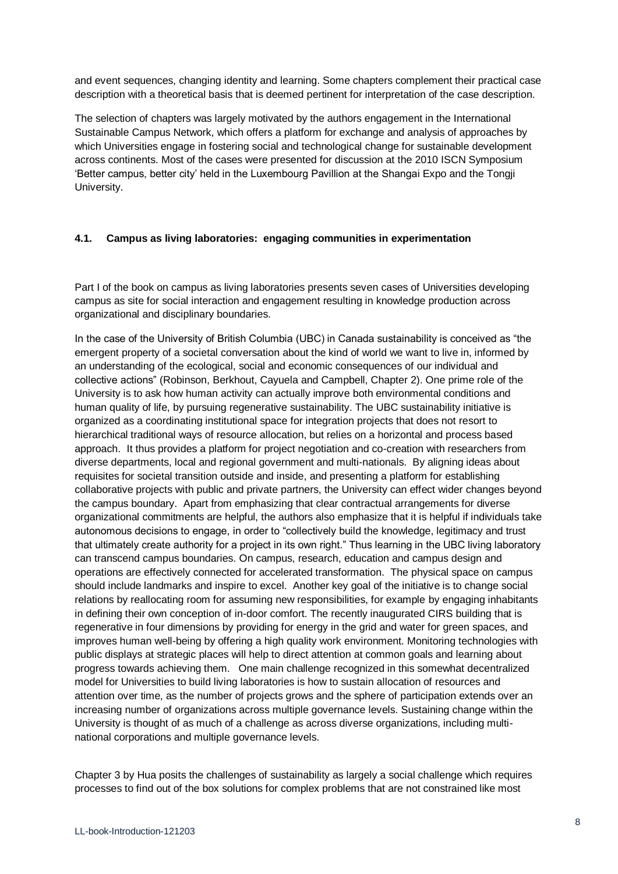and event sequences, changing identity and learning. Some chapters complement their practical case description with a theoretical basis that is deemed pertinent for interpretation of the case description.

The selection of chapters was largely motivated by the authors engagement in the International Sustainable Campus Network, which offers a platform for exchange and analysis of approaches by which Universities engage in fostering social and technological change for sustainable development across continents. Most of the cases were presented for discussion at the 2010 ISCN Symposium 'Better campus, better city' held in the Luxembourg Pavillion at the Shangai Expo and the Tongji University.

## **4.1. Campus as living laboratories: engaging communities in experimentation**

Part I of the book on campus as living laboratories presents seven cases of Universities developing campus as site for social interaction and engagement resulting in knowledge production across organizational and disciplinary boundaries.

In the case of the University of British Columbia (UBC) in Canada sustainability is conceived as "the emergent property of a societal conversation about the kind of world we want to live in, informed by an understanding of the ecological, social and economic consequences of our individual and collective actions" (Robinson, Berkhout, Cayuela and Campbell, Chapter 2). One prime role of the University is to ask how human activity can actually improve both environmental conditions and human quality of life, by pursuing regenerative sustainability. The UBC sustainability initiative is organized as a coordinating institutional space for integration projects that does not resort to hierarchical traditional ways of resource allocation, but relies on a horizontal and process based approach. It thus provides a platform for project negotiation and co-creation with researchers from diverse departments, local and regional government and multi-nationals. By aligning ideas about requisites for societal transition outside and inside, and presenting a platform for establishing collaborative projects with public and private partners, the University can effect wider changes beyond the campus boundary. Apart from emphasizing that clear contractual arrangements for diverse organizational commitments are helpful, the authors also emphasize that it is helpful if individuals take autonomous decisions to engage, in order to "collectively build the knowledge, legitimacy and trust that ultimately create authority for a project in its own right." Thus learning in the UBC living laboratory can transcend campus boundaries. On campus, research, education and campus design and operations are effectively connected for accelerated transformation. The physical space on campus should include landmarks and inspire to excel. Another key goal of the initiative is to change social relations by reallocating room for assuming new responsibilities, for example by engaging inhabitants in defining their own conception of in-door comfort. The recently inaugurated CIRS building that is regenerative in four dimensions by providing for energy in the grid and water for green spaces, and improves human well-being by offering a high quality work environment. Monitoring technologies with public displays at strategic places will help to direct attention at common goals and learning about progress towards achieving them. One main challenge recognized in this somewhat decentralized model for Universities to build living laboratories is how to sustain allocation of resources and attention over time, as the number of projects grows and the sphere of participation extends over an increasing number of organizations across multiple governance levels. Sustaining change within the University is thought of as much of a challenge as across diverse organizations, including multinational corporations and multiple governance levels.

Chapter 3 by Hua posits the challenges of sustainability as largely a social challenge which requires processes to find out of the box solutions for complex problems that are not constrained like most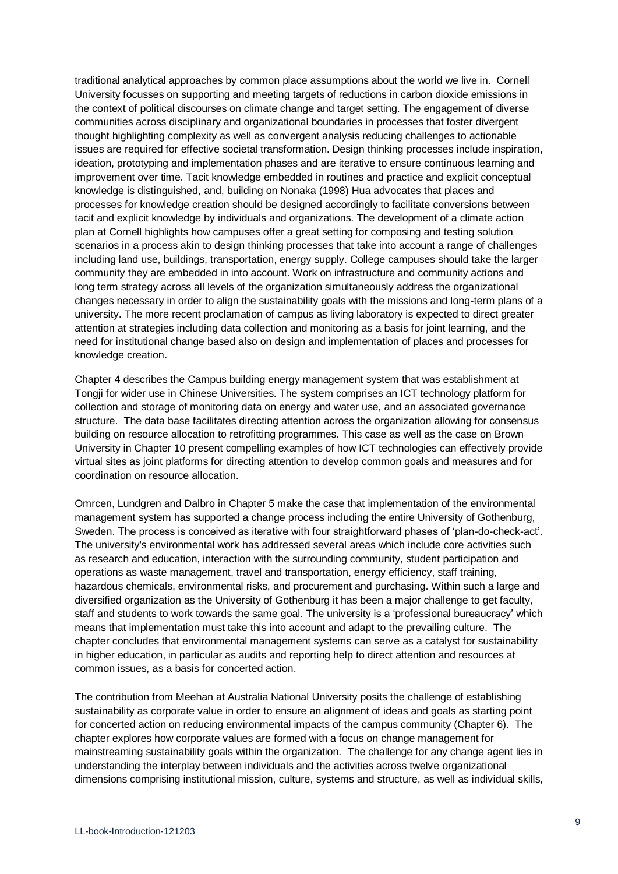traditional analytical approaches by common place assumptions about the world we live in. Cornell University focusses on supporting and meeting targets of reductions in carbon dioxide emissions in the context of political discourses on climate change and target setting. The engagement of diverse communities across disciplinary and organizational boundaries in processes that foster divergent thought highlighting complexity as well as convergent analysis reducing challenges to actionable issues are required for effective societal transformation. Design thinking processes include inspiration, ideation, prototyping and implementation phases and are iterative to ensure continuous learning and improvement over time. Tacit knowledge embedded in routines and practice and explicit conceptual knowledge is distinguished, and, building on Nonaka (1998) Hua advocates that places and processes for knowledge creation should be designed accordingly to facilitate conversions between tacit and explicit knowledge by individuals and organizations. The development of a climate action plan at Cornell highlights how campuses offer a great setting for composing and testing solution scenarios in a process akin to design thinking processes that take into account a range of challenges including land use, buildings, transportation, energy supply. College campuses should take the larger community they are embedded in into account. Work on infrastructure and community actions and long term strategy across all levels of the organization simultaneously address the organizational changes necessary in order to align the sustainability goals with the missions and long-term plans of a university. The more recent proclamation of campus as living laboratory is expected to direct greater attention at strategies including data collection and monitoring as a basis for joint learning, and the need for institutional change based also on design and implementation of places and processes for knowledge creation**.** 

Chapter 4 describes the Campus building energy management system that was establishment at Tongji for wider use in Chinese Universities. The system comprises an ICT technology platform for collection and storage of monitoring data on energy and water use, and an associated governance structure. The data base facilitates directing attention across the organization allowing for consensus building on resource allocation to retrofitting programmes. This case as well as the case on Brown University in Chapter 10 present compelling examples of how ICT technologies can effectively provide virtual sites as joint platforms for directing attention to develop common goals and measures and for coordination on resource allocation.

Omrcen, Lundgren and Dalbro in Chapter 5 make the case that implementation of the environmental management system has supported a change process including the entire University of Gothenburg, Sweden. The process is conceived as iterative with four straightforward phases of 'plan-do-check-act'. The university's environmental work has addressed several areas which include core activities such as research and education, interaction with the surrounding community, student participation and operations as waste management, travel and transportation, energy efficiency, staff training, hazardous chemicals, environmental risks, and procurement and purchasing. Within such a large and diversified organization as the University of Gothenburg it has been a major challenge to get faculty, staff and students to work towards the same goal. The university is a 'professional bureaucracy' which means that implementation must take this into account and adapt to the prevailing culture. The chapter concludes that environmental management systems can serve as a catalyst for sustainability in higher education, in particular as audits and reporting help to direct attention and resources at common issues, as a basis for concerted action.

The contribution from Meehan at Australia National University posits the challenge of establishing sustainability as corporate value in order to ensure an alignment of ideas and goals as starting point for concerted action on reducing environmental impacts of the campus community (Chapter 6). The chapter explores how corporate values are formed with a focus on change management for mainstreaming sustainability goals within the organization. The challenge for any change agent lies in understanding the interplay between individuals and the activities across twelve organizational dimensions comprising institutional mission, culture, systems and structure, as well as individual skills,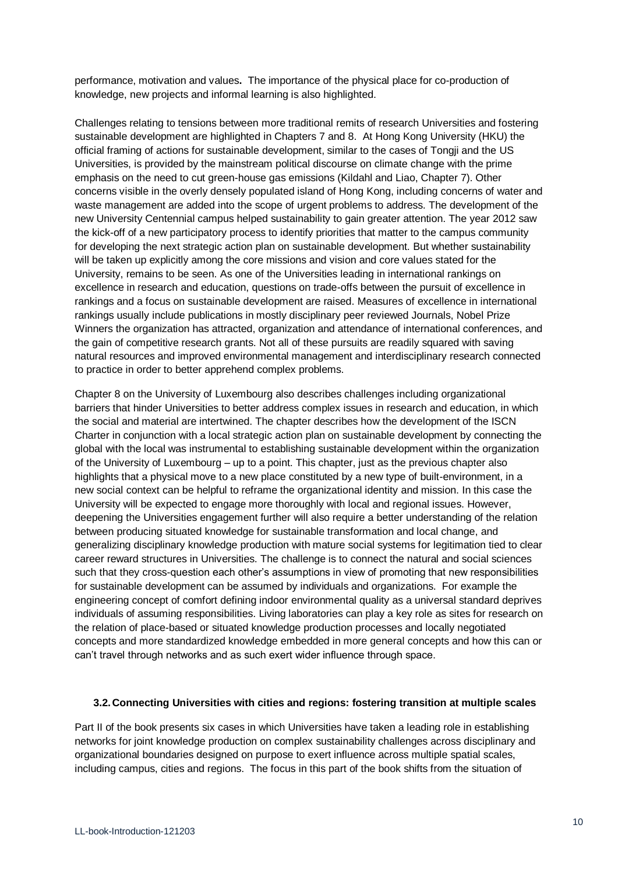performance, motivation and values**.** The importance of the physical place for co-production of knowledge, new projects and informal learning is also highlighted.

Challenges relating to tensions between more traditional remits of research Universities and fostering sustainable development are highlighted in Chapters 7 and 8. At Hong Kong University (HKU) the official framing of actions for sustainable development, similar to the cases of Tongji and the US Universities, is provided by the mainstream political discourse on climate change with the prime emphasis on the need to cut green-house gas emissions (Kildahl and Liao, Chapter 7). Other concerns visible in the overly densely populated island of Hong Kong, including concerns of water and waste management are added into the scope of urgent problems to address. The development of the new University Centennial campus helped sustainability to gain greater attention. The year 2012 saw the kick-off of a new participatory process to identify priorities that matter to the campus community for developing the next strategic action plan on sustainable development. But whether sustainability will be taken up explicitly among the core missions and vision and core values stated for the University, remains to be seen. As one of the Universities leading in international rankings on excellence in research and education, questions on trade-offs between the pursuit of excellence in rankings and a focus on sustainable development are raised. Measures of excellence in international rankings usually include publications in mostly disciplinary peer reviewed Journals, Nobel Prize Winners the organization has attracted, organization and attendance of international conferences, and the gain of competitive research grants. Not all of these pursuits are readily squared with saving natural resources and improved environmental management and interdisciplinary research connected to practice in order to better apprehend complex problems.

Chapter 8 on the University of Luxembourg also describes challenges including organizational barriers that hinder Universities to better address complex issues in research and education, in which the social and material are intertwined. The chapter describes how the development of the ISCN Charter in conjunction with a local strategic action plan on sustainable development by connecting the global with the local was instrumental to establishing sustainable development within the organization of the University of Luxembourg – up to a point. This chapter, just as the previous chapter also highlights that a physical move to a new place constituted by a new type of built-environment, in a new social context can be helpful to reframe the organizational identity and mission. In this case the University will be expected to engage more thoroughly with local and regional issues. However, deepening the Universities engagement further will also require a better understanding of the relation between producing situated knowledge for sustainable transformation and local change, and generalizing disciplinary knowledge production with mature social systems for legitimation tied to clear career reward structures in Universities. The challenge is to connect the natural and social sciences such that they cross-question each other's assumptions in view of promoting that new responsibilities for sustainable development can be assumed by individuals and organizations. For example the engineering concept of comfort defining indoor environmental quality as a universal standard deprives individuals of assuming responsibilities. Living laboratories can play a key role as sites for research on the relation of place-based or situated knowledge production processes and locally negotiated concepts and more standardized knowledge embedded in more general concepts and how this can or can't travel through networks and as such exert wider influence through space.

#### **3.2.Connecting Universities with cities and regions: fostering transition at multiple scales**

Part II of the book presents six cases in which Universities have taken a leading role in establishing networks for joint knowledge production on complex sustainability challenges across disciplinary and organizational boundaries designed on purpose to exert influence across multiple spatial scales, including campus, cities and regions. The focus in this part of the book shifts from the situation of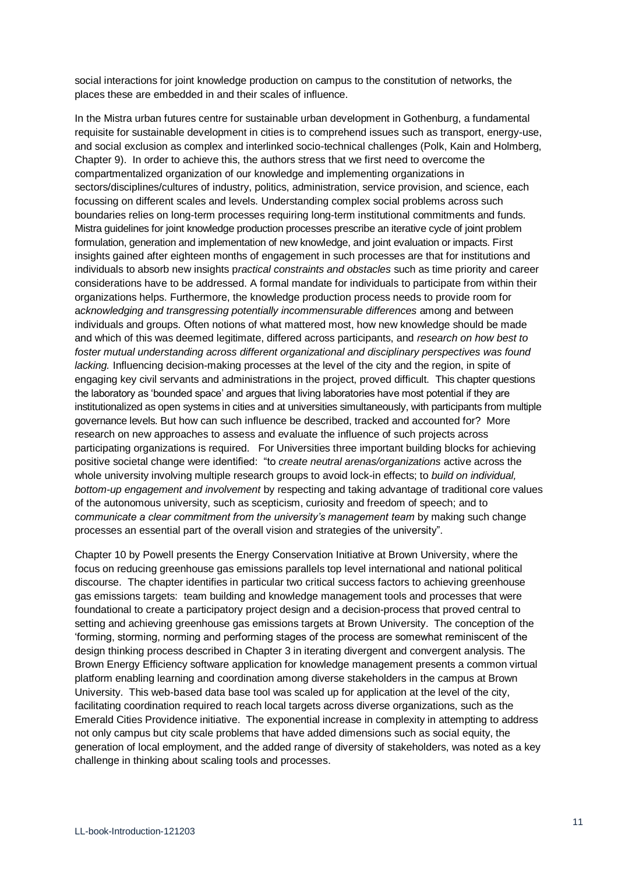social interactions for joint knowledge production on campus to the constitution of networks, the places these are embedded in and their scales of influence.

In the Mistra urban futures centre for sustainable urban development in Gothenburg, a fundamental requisite for sustainable development in cities is to comprehend issues such as transport, energy-use, and social exclusion as complex and interlinked socio-technical challenges (Polk, Kain and Holmberg, Chapter 9). In order to achieve this, the authors stress that we first need to overcome the compartmentalized organization of our knowledge and implementing organizations in sectors/disciplines/cultures of industry, politics, administration, service provision, and science, each focussing on different scales and levels. Understanding complex social problems across such boundaries relies on long-term processes requiring long-term institutional commitments and funds. Mistra guidelines for joint knowledge production processes prescribe an iterative cycle of joint problem formulation, generation and implementation of new knowledge, and joint evaluation or impacts. First insights gained after eighteen months of engagement in such processes are that for institutions and individuals to absorb new insights p*ractical constraints and obstacles* such as time priority and career considerations have to be addressed. A formal mandate for individuals to participate from within their organizations helps. Furthermore, the knowledge production process needs to provide room for a*cknowledging and transgressing potentially incommensurable differences* among and between individuals and groups. Often notions of what mattered most, how new knowledge should be made and which of this was deemed legitimate, differed across participants, and *research on how best to foster mutual understanding across different organizational and disciplinary perspectives was found lacking.* Influencing decision-making processes at the level of the city and the region, in spite of engaging key civil servants and administrations in the project, proved difficult. This chapter questions the laboratory as 'bounded space' and argues that living laboratories have most potential if they are institutionalized as open systems in cities and at universities simultaneously, with participants from multiple governance levels. But how can such influence be described, tracked and accounted for? More research on new approaches to assess and evaluate the influence of such projects across participating organizations is required. For Universities three important building blocks for achieving positive societal change were identified: "to *create neutral arenas/organizations* active across the whole university involving multiple research groups to avoid lock-in effects; to *build on individual, bottom-up engagement and involvement* by respecting and taking advantage of traditional core values of the autonomous university, such as scepticism, curiosity and freedom of speech; and to communicate a clear commitment from the university's management team by making such change processes an essential part of the overall vision and strategies of the university".

Chapter 10 by Powell presents the Energy Conservation Initiative at Brown University, where the focus on reducing greenhouse gas emissions parallels top level international and national political discourse. The chapter identifies in particular two critical success factors to achieving greenhouse gas emissions targets: team building and knowledge management tools and processes that were foundational to create a participatory project design and a decision-process that proved central to setting and achieving greenhouse gas emissions targets at Brown University. The conception of the 'forming, storming, norming and performing stages of the process are somewhat reminiscent of the design thinking process described in Chapter 3 in iterating divergent and convergent analysis. The Brown Energy Efficiency software application for knowledge management presents a common virtual platform enabling learning and coordination among diverse stakeholders in the campus at Brown University. This web-based data base tool was scaled up for application at the level of the city, facilitating coordination required to reach local targets across diverse organizations, such as the Emerald Cities Providence initiative. The exponential increase in complexity in attempting to address not only campus but city scale problems that have added dimensions such as social equity, the generation of local employment, and the added range of diversity of stakeholders, was noted as a key challenge in thinking about scaling tools and processes.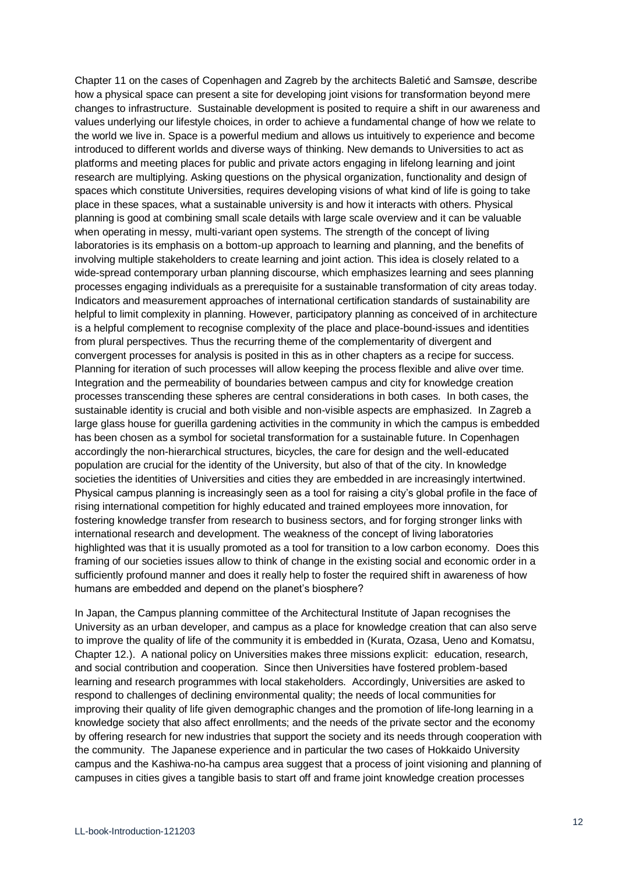Chapter 11 on the cases of Copenhagen and Zagreb by the architects Baletić and Samsøe, describe how a physical space can present a site for developing joint visions for transformation beyond mere changes to infrastructure. Sustainable development is posited to require a shift in our awareness and values underlying our lifestyle choices, in order to achieve a fundamental change of how we relate to the world we live in. Space is a powerful medium and allows us intuitively to experience and become introduced to different worlds and diverse ways of thinking. New demands to Universities to act as platforms and meeting places for public and private actors engaging in lifelong learning and joint research are multiplying. Asking questions on the physical organization, functionality and design of spaces which constitute Universities, requires developing visions of what kind of life is going to take place in these spaces, what a sustainable university is and how it interacts with others. Physical planning is good at combining small scale details with large scale overview and it can be valuable when operating in messy, multi-variant open systems. The strength of the concept of living laboratories is its emphasis on a bottom-up approach to learning and planning, and the benefits of involving multiple stakeholders to create learning and joint action. This idea is closely related to a wide-spread contemporary urban planning discourse, which emphasizes learning and sees planning processes engaging individuals as a prerequisite for a sustainable transformation of city areas today. Indicators and measurement approaches of international certification standards of sustainability are helpful to limit complexity in planning. However, participatory planning as conceived of in architecture is a helpful complement to recognise complexity of the place and place-bound-issues and identities from plural perspectives. Thus the recurring theme of the complementarity of divergent and convergent processes for analysis is posited in this as in other chapters as a recipe for success. Planning for iteration of such processes will allow keeping the process flexible and alive over time. Integration and the permeability of boundaries between campus and city for knowledge creation processes transcending these spheres are central considerations in both cases. In both cases, the sustainable identity is crucial and both visible and non-visible aspects are emphasized. In Zagreb a large glass house for guerilla gardening activities in the community in which the campus is embedded has been chosen as a symbol for societal transformation for a sustainable future. In Copenhagen accordingly the non-hierarchical structures, bicycles, the care for design and the well-educated population are crucial for the identity of the University, but also of that of the city. In knowledge societies the identities of Universities and cities they are embedded in are increasingly intertwined. Physical campus planning is increasingly seen as a tool for raising a city's global profile in the face of rising international competition for highly educated and trained employees more innovation, for fostering knowledge transfer from research to business sectors, and for forging stronger links with international research and development. The weakness of the concept of living laboratories highlighted was that it is usually promoted as a tool for transition to a low carbon economy. Does this framing of our societies issues allow to think of change in the existing social and economic order in a sufficiently profound manner and does it really help to foster the required shift in awareness of how humans are embedded and depend on the planet's biosphere?

In Japan, the Campus planning committee of the Architectural Institute of Japan recognises the University as an urban developer, and campus as a place for knowledge creation that can also serve to improve the quality of life of the community it is embedded in (Kurata, Ozasa, Ueno and Komatsu, Chapter 12.). A national policy on Universities makes three missions explicit: education, research, and social contribution and cooperation. Since then Universities have fostered problem-based learning and research programmes with local stakeholders. Accordingly, Universities are asked to respond to challenges of declining environmental quality; the needs of local communities for improving their quality of life given demographic changes and the promotion of life-long learning in a knowledge society that also affect enrollments; and the needs of the private sector and the economy by offering research for new industries that support the society and its needs through cooperation with the community. The Japanese experience and in particular the two cases of Hokkaido University campus and the Kashiwa-no-ha campus area suggest that a process of joint visioning and planning of campuses in cities gives a tangible basis to start off and frame joint knowledge creation processes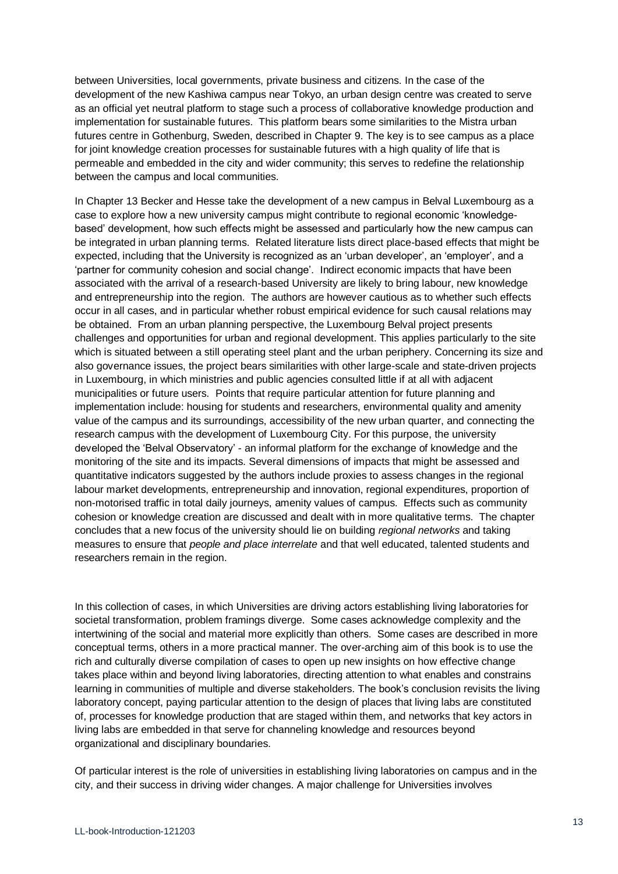between Universities, local governments, private business and citizens. In the case of the development of the new Kashiwa campus near Tokyo, an urban design centre was created to serve as an official yet neutral platform to stage such a process of collaborative knowledge production and implementation for sustainable futures. This platform bears some similarities to the Mistra urban futures centre in Gothenburg, Sweden, described in Chapter 9. The key is to see campus as a place for joint knowledge creation processes for sustainable futures with a high quality of life that is permeable and embedded in the city and wider community; this serves to redefine the relationship between the campus and local communities.

In Chapter 13 Becker and Hesse take the development of a new campus in Belval Luxembourg as a case to explore how a new university campus might contribute to regional economic 'knowledgebased' development, how such effects might be assessed and particularly how the new campus can be integrated in urban planning terms. Related literature lists direct place-based effects that might be expected, including that the University is recognized as an 'urban developer', an 'employer', and a 'partner for community cohesion and social change'. Indirect economic impacts that have been associated with the arrival of a research-based University are likely to bring labour, new knowledge and entrepreneurship into the region. The authors are however cautious as to whether such effects occur in all cases, and in particular whether robust empirical evidence for such causal relations may be obtained. From an urban planning perspective, the Luxembourg Belval project presents challenges and opportunities for urban and regional development. This applies particularly to the site which is situated between a still operating steel plant and the urban periphery. Concerning its size and also governance issues, the project bears similarities with other large-scale and state-driven projects in Luxembourg, in which ministries and public agencies consulted little if at all with adjacent municipalities or future users. Points that require particular attention for future planning and implementation include: housing for students and researchers, environmental quality and amenity value of the campus and its surroundings, accessibility of the new urban quarter, and connecting the research campus with the development of Luxembourg City. For this purpose, the university developed the 'Belval Observatory' - an informal platform for the exchange of knowledge and the monitoring of the site and its impacts. Several dimensions of impacts that might be assessed and quantitative indicators suggested by the authors include proxies to assess changes in the regional labour market developments, entrepreneurship and innovation, regional expenditures, proportion of non-motorised traffic in total daily journeys, amenity values of campus. Effects such as community cohesion or knowledge creation are discussed and dealt with in more qualitative terms. The chapter concludes that a new focus of the university should lie on building *regional networks* and taking measures to ensure that *people and place interrelate* and that well educated, talented students and researchers remain in the region.

In this collection of cases, in which Universities are driving actors establishing living laboratories for societal transformation, problem framings diverge. Some cases acknowledge complexity and the intertwining of the social and material more explicitly than others. Some cases are described in more conceptual terms, others in a more practical manner. The over-arching aim of this book is to use the rich and culturally diverse compilation of cases to open up new insights on how effective change takes place within and beyond living laboratories, directing attention to what enables and constrains learning in communities of multiple and diverse stakeholders. The book's conclusion revisits the living laboratory concept, paying particular attention to the design of places that living labs are constituted of, processes for knowledge production that are staged within them, and networks that key actors in living labs are embedded in that serve for channeling knowledge and resources beyond organizational and disciplinary boundaries.

Of particular interest is the role of universities in establishing living laboratories on campus and in the city, and their success in driving wider changes. A major challenge for Universities involves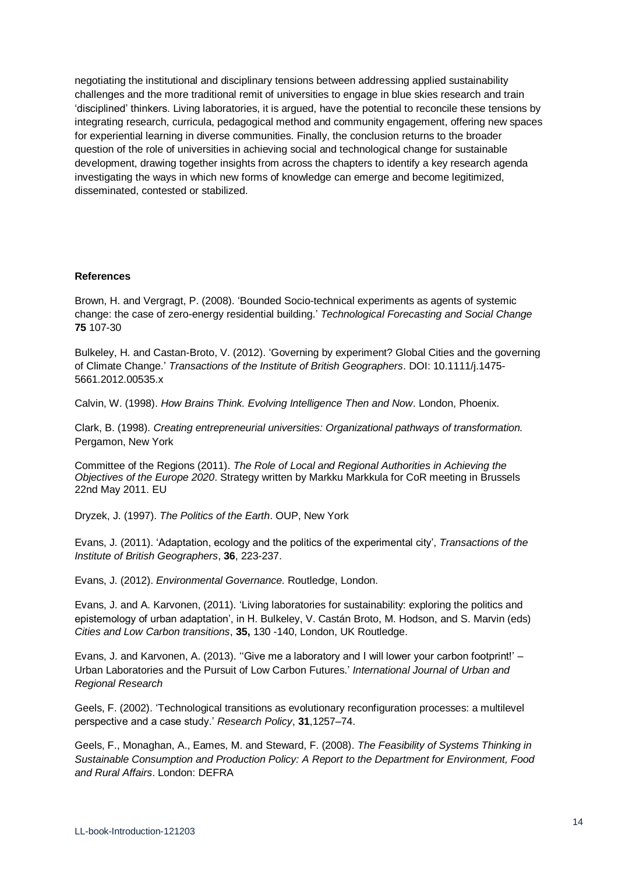negotiating the institutional and disciplinary tensions between addressing applied sustainability challenges and the more traditional remit of universities to engage in blue skies research and train 'disciplined' thinkers. Living laboratories, it is argued, have the potential to reconcile these tensions by integrating research, curricula, pedagogical method and community engagement, offering new spaces for experiential learning in diverse communities. Finally, the conclusion returns to the broader question of the role of universities in achieving social and technological change for sustainable development, drawing together insights from across the chapters to identify a key research agenda investigating the ways in which new forms of knowledge can emerge and become legitimized, disseminated, contested or stabilized.

### **References**

Brown, H. and Vergragt, P. (2008). 'Bounded Socio-technical experiments as agents of systemic change: the case of zero-energy residential building.' *Technological Forecasting and Social Change* **75** 107-30

Bulkeley, H. and Castan-Broto, V. (2012). 'Governing by experiment? Global Cities and the governing of Climate Change.' *Transactions of the Institute of British Geographers*. DOI: 10.1111/j.1475- 5661.2012.00535.x

Calvin, W. (1998). *How Brains Think. Evolving Intelligence Then and Now*. London, Phoenix.

Clark, B. (1998). *Creating entrepreneurial universities: Organizational pathways of transformation.*  Pergamon, New York

Committee of the Regions (2011). *The Role of Local and Regional Authorities in Achieving the Objectives of the Europe 2020*. Strategy written by Markku Markkula for CoR meeting in Brussels 22nd May 2011. EU

Dryzek, J. (1997). *The Politics of the Earth*. OUP, New York

Evans, J. (2011). 'Adaptation, ecology and the politics of the experimental city', *Transactions of the Institute of British Geographers*, **36**, 223-237.

Evans, J. (2012). *Environmental Governance.* Routledge, London.

Evans, J. and A. Karvonen, (2011). 'Living laboratories for sustainability: exploring the politics and epistemology of urban adaptation', in H. Bulkeley, V. Castán Broto, M. Hodson, and S. Marvin (eds) *Cities and Low Carbon transitions*, **35,** 130 -140, London, UK Routledge.

Evans, J. and Karvonen, A. (2013). ''Give me a laboratory and I will lower your carbon footprint!' – Urban Laboratories and the Pursuit of Low Carbon Futures.' *International Journal of Urban and Regional Research*

Geels, F. (2002). 'Technological transitions as evolutionary reconfiguration processes: a multilevel perspective and a case study.' *Research Policy*, **31**,1257–74.

Geels, F., Monaghan, A., Eames, M. and Steward, F. (2008). *The Feasibility of Systems Thinking in Sustainable Consumption and Production Policy: A Report to the Department for Environment, Food and Rural Affairs*. London: DEFRA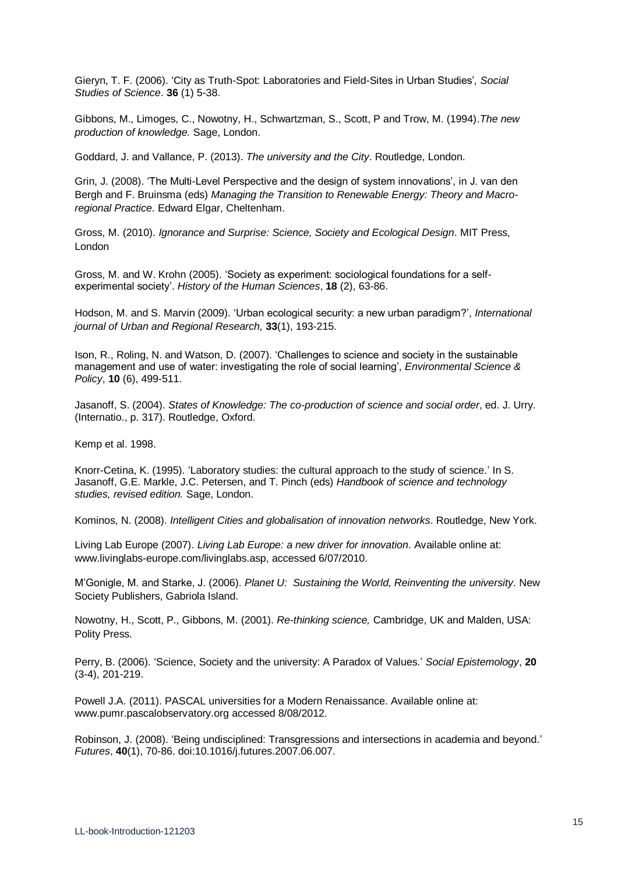Gieryn, T. F. (2006). 'City as Truth-Spot: Laboratories and Field-Sites in Urban Studies'*, Social Studies of Science*. **36** (1) 5-38.

Gibbons, M., Limoges, C., Nowotny, H., Schwartzman, S., Scott, P and Trow, M. (1994).*The new production of knowledge.* Sage, London.

Goddard, J. and Vallance, P. (2013). *The university and the City*. Routledge, London.

Grin, J. (2008). 'The Multi-Level Perspective and the design of system innovations', in J. van den Bergh and F. Bruinsma (eds) *Managing the Transition to Renewable Energy: Theory and Macroregional Practice*. Edward Elgar, Cheltenham.

Gross, M. (2010). *Ignorance and Surprise: Science, Society and Ecological Design*. MIT Press, London

Gross, M. and W. Krohn (2005). 'Society as experiment: sociological foundations for a selfexperimental society'. *History of the Human Sciences*, **18** (2), 63-86.

Hodson, M. and S. Marvin (2009). 'Urban ecological security: a new urban paradigm?', *International journal of Urban and Regional Research,* **33**(1), 193-215.

Ison, R., Roling, N. and Watson, D. (2007). 'Challenges to science and society in the sustainable management and use of water: investigating the role of social learning', *Environmental Science & Policy*, **10** (6), 499-511.

Jasanoff, S. (2004). *States of Knowledge: The co-production of science and social order*, ed. J. Urry. (Internatio., p. 317). Routledge, Oxford.

Kemp et al. 1998.

Knorr-Cetina, K. (1995). 'Laboratory studies: the cultural approach to the study of science.' In S. Jasanoff, G.E. Markle, J.C. Petersen, and T. Pinch (eds) *Handbook of science and technology studies, revised edition.* Sage, London.

Kominos, N. (2008). *Intelligent Cities and globalisation of innovation networks*. Routledge, New York.

Living Lab Europe (2007). *Living Lab Europe: a new driver for innovation*. Available online at: www.livinglabs-europe.com/livinglabs.asp, accessed 6/07/2010.

M'Gonigle, M. and Starke, J. (2006). *Planet U: Sustaining the World, Reinventing the university*. New Society Publishers, Gabriola Island.

Nowotny, H., Scott, P., Gibbons, M. (2001). *Re-thinking science,* Cambridge, UK and Malden, USA: Polity Press.

Perry, B. (2006). 'Science, Society and the university: A Paradox of Values.' *Social Epistemology*, **20**  (3-4), 201-219.

Powell J.A. (2011). PASCAL universities for a Modern Renaissance. Available online at: www.pumr.pascalobservatory.org accessed 8/08/2012.

Robinson, J. (2008). 'Being undisciplined: Transgressions and intersections in academia and beyond.' *Futures*, **40**(1), 70-86. doi:10.1016/j.futures.2007.06.007.